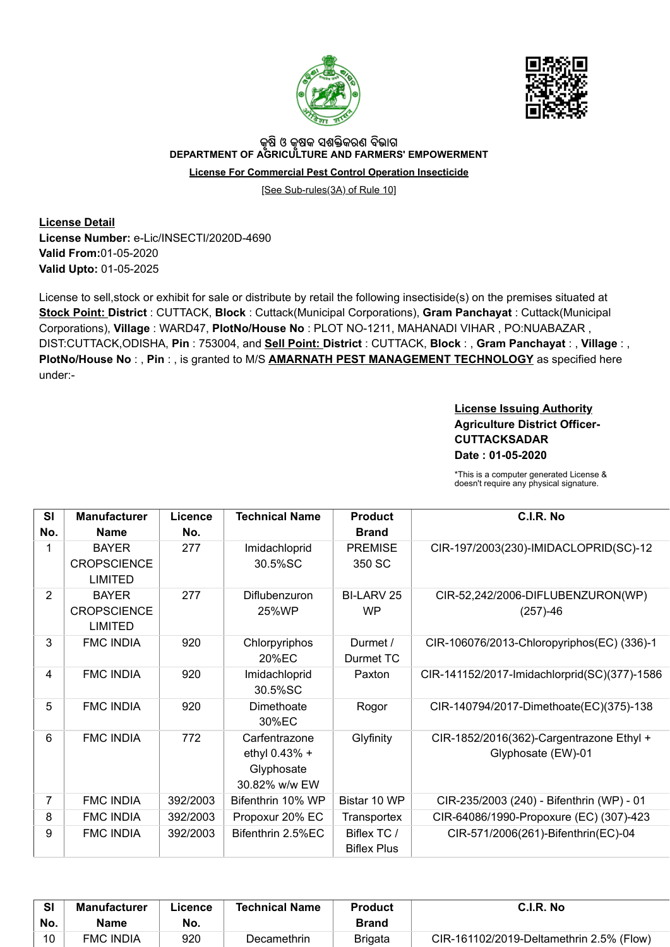



## କୃଷ ଓ କୃଷକ ସଶକ୍ତକରଣ ବଭାଗ<br>DEPARTMENT OF AGRICULTURE AND FARMERS' EMPOWERMENT

License For Commercial Pest Control Operation Insecticide

[See Sub-rules(3A) of Rule 10]

License Detail License Number: e-Lic/INSECTI/2020D-4690 Valid From:01-05-2020 Valid Upto: 01-05-2025

License to sell,stock or exhibit for sale or distribute by retail the following insectiside(s) on the premises situated at Stock Point: District : CUTTACK, Block : Cuttack(Municipal Corporations), Gram Panchayat : Cuttack(Municipal Corporations), Village : WARD47, PlotNo/House No : PLOT NO-1211, MAHANADI VIHAR , PO:NUABAZAR , DIST:CUTTACK,ODISHA, Pin: 753004, and Sell Point: District: CUTTACK, Block:, Gram Panchayat:, Village:, PlotNo/House No:, Pin:, is granted to M/S **AMARNATH PEST MANAGEMENT TECHNOLOGY** as specified here under:-

## License Issuing Authority Agriculture District Officer-**CUTTACKSADAR** Date : 01-05-2020

\*This is a computer generated License & doesn't require any physical signature.

| <b>SI</b>      | <b>Manufacturer</b>                                  | Licence  | <b>Technical Name</b>                                         | <b>Product</b>                    | C.I.R. No                                                      |
|----------------|------------------------------------------------------|----------|---------------------------------------------------------------|-----------------------------------|----------------------------------------------------------------|
| No.            | <b>Name</b>                                          | No.      |                                                               | <b>Brand</b>                      |                                                                |
|                | <b>BAYER</b><br><b>CROPSCIENCE</b><br><b>LIMITED</b> | 277      | Imidachloprid<br>30.5%SC                                      | <b>PREMISE</b><br>350 SC          | CIR-197/2003(230)-IMIDACLOPRID(SC)-12                          |
| $\overline{2}$ | <b>BAYER</b><br><b>CROPSCIENCE</b><br><b>LIMITED</b> | 277      | Diflubenzuron<br>25%WP                                        | BI-LARV 25<br><b>WP</b>           | CIR-52,242/2006-DIFLUBENZURON(WP)<br>$(257)-46$                |
| 3              | <b>FMC INDIA</b>                                     | 920      | Chlorpyriphos<br>20% <sub>EC</sub>                            | Durmet /<br>Durmet TC             | CIR-106076/2013-Chloropyriphos(EC) (336)-1                     |
| 4              | <b>FMC INDIA</b>                                     | 920      | Imidachloprid<br>30.5%SC                                      | Paxton                            | CIR-141152/2017-Imidachlorprid(SC)(377)-1586                   |
| 5              | <b>FMC INDIA</b>                                     | 920      | Dimethoate<br>30%EC                                           | Rogor                             | CIR-140794/2017-Dimethoate(EC)(375)-138                        |
| 6              | <b>FMC INDIA</b>                                     | 772      | Carfentrazone<br>ethyl 0.43% +<br>Glyphosate<br>30.82% w/w EW | Glyfinity                         | CIR-1852/2016(362)-Cargentrazone Ethyl +<br>Glyphosate (EW)-01 |
| 7              | <b>FMC INDIA</b>                                     | 392/2003 | Bifenthrin 10% WP                                             | Bistar 10 WP                      | CIR-235/2003 (240) - Bifenthrin (WP) - 01                      |
| 8              | <b>FMC INDIA</b>                                     | 392/2003 | Propoxur 20% EC                                               | Transportex                       | CIR-64086/1990-Propoxure (EC) (307)-423                        |
| 9              | <b>FMC INDIA</b>                                     | 392/2003 | Bifenthrin 2.5%EC                                             | Biflex TC /<br><b>Biflex Plus</b> | CIR-571/2006(261)-Bifenthrin(EC)-04                            |

| <b>CI</b> | <b>Manufacturer</b> | Licence. | <b>Technical Name</b> | <b>Product</b> | C.I.R. No                                |
|-----------|---------------------|----------|-----------------------|----------------|------------------------------------------|
| No.       | Name                | No.      |                       | Brand          |                                          |
| 10        | <b>FMC INDIA</b>    | 920      | <b>Decamethrin</b>    | <b>Brigata</b> | CIR-161102/2019-Deltamethrin 2.5% (Flow) |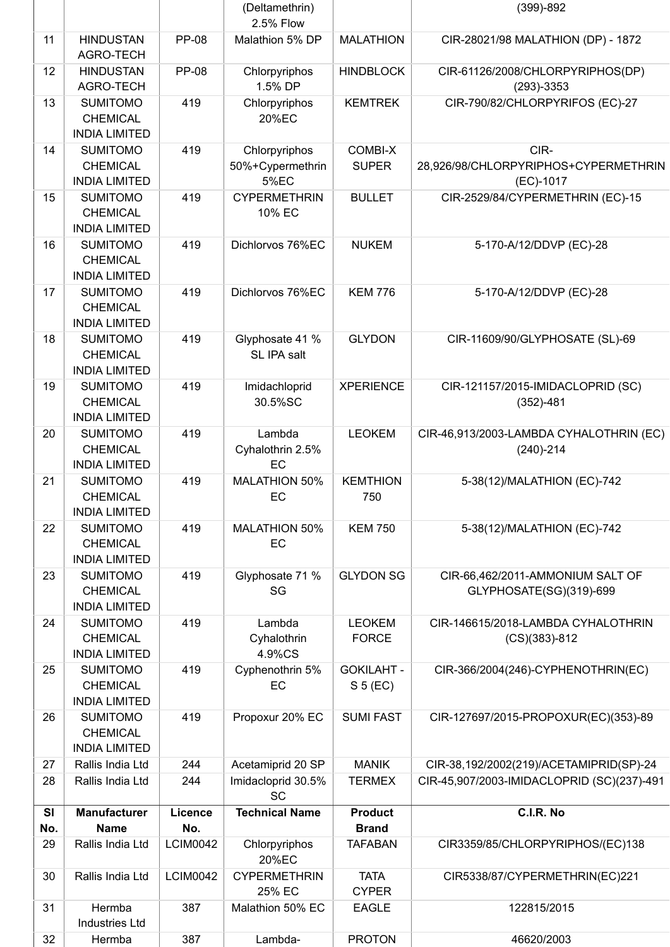|           |                                                            |                 | (Deltamethrin)<br>2.5% Flow                      |                                          | $(399)-892$                                                 |
|-----------|------------------------------------------------------------|-----------------|--------------------------------------------------|------------------------------------------|-------------------------------------------------------------|
| 11        | <b>HINDUSTAN</b><br><b>AGRO-TECH</b>                       | <b>PP-08</b>    | Malathion 5% DP                                  | <b>MALATHION</b>                         | CIR-28021/98 MALATHION (DP) - 1872                          |
| 12        | <b>HINDUSTAN</b><br>AGRO-TECH                              | <b>PP-08</b>    | Chlorpyriphos<br>1.5% DP                         | <b>HINDBLOCK</b>                         | CIR-61126/2008/CHLORPYRIPHOS(DP)<br>$(293)-3353$            |
| 13        | <b>SUMITOMO</b><br><b>CHEMICAL</b><br><b>INDIA LIMITED</b> | 419             | Chlorpyriphos<br>20%EC                           | <b>KEMTREK</b>                           | CIR-790/82/CHLORPYRIFOS (EC)-27                             |
| 14        | <b>SUMITOMO</b><br><b>CHEMICAL</b><br><b>INDIA LIMITED</b> | 419             | Chlorpyriphos<br>50%+Cypermethrin<br><b>5%EC</b> | <b>COMBI-X</b><br><b>SUPER</b>           | CIR-<br>28,926/98/CHLORPYRIPHOS+CYPERMETHRIN<br>(EC)-1017   |
| 15        | <b>SUMITOMO</b><br><b>CHEMICAL</b><br><b>INDIA LIMITED</b> | 419             | <b>CYPERMETHRIN</b><br>10% EC                    | <b>BULLET</b>                            | CIR-2529/84/CYPERMETHRIN (EC)-15                            |
| 16        | <b>SUMITOMO</b><br><b>CHEMICAL</b><br><b>INDIA LIMITED</b> | 419             | Dichlorvos 76%EC                                 | <b>NUKEM</b>                             | 5-170-A/12/DDVP (EC)-28                                     |
| 17        | <b>SUMITOMO</b><br><b>CHEMICAL</b><br><b>INDIA LIMITED</b> | 419             | Dichlorvos 76%EC                                 | <b>KEM 776</b>                           | 5-170-A/12/DDVP (EC)-28                                     |
| 18        | <b>SUMITOMO</b><br><b>CHEMICAL</b><br><b>INDIA LIMITED</b> | 419             | Glyphosate 41 %<br>SL IPA salt                   | <b>GLYDON</b>                            | CIR-11609/90/GLYPHOSATE (SL)-69                             |
| 19        | <b>SUMITOMO</b><br><b>CHEMICAL</b><br><b>INDIA LIMITED</b> | 419             | Imidachloprid<br>30.5%SC                         | <b>XPERIENCE</b>                         | CIR-121157/2015-IMIDACLOPRID (SC)<br>$(352) - 481$          |
| 20        | <b>SUMITOMO</b><br><b>CHEMICAL</b><br><b>INDIA LIMITED</b> | 419             | Lambda<br>Cyhalothrin 2.5%<br><b>EC</b>          | <b>LEOKEM</b>                            | CIR-46,913/2003-LAMBDA CYHALOTHRIN (EC)<br>$(240)-214$      |
| 21        | <b>SUMITOMO</b><br><b>CHEMICAL</b><br><b>INDIA LIMITED</b> | 419             | <b>MALATHION 50%</b><br>EC                       | <b>KEMTHION</b><br>750                   | 5-38(12)/MALATHION (EC)-742                                 |
| 22        | <b>SUMITOMO</b><br><b>CHEMICAL</b><br><b>INDIA LIMITED</b> | 419             | <b>MALATHION 50%</b><br>EC                       | <b>KEM 750</b>                           | 5-38(12)/MALATHION (EC)-742                                 |
| 23        | <b>SUMITOMO</b><br><b>CHEMICAL</b><br><b>INDIA LIMITED</b> | 419             | Glyphosate 71 %<br>SG                            | <b>GLYDON SG</b>                         | CIR-66,462/2011-AMMONIUM SALT OF<br>GLYPHOSATE(SG)(319)-699 |
| 24        | <b>SUMITOMO</b><br><b>CHEMICAL</b><br><b>INDIA LIMITED</b> | 419             | Lambda<br>Cyhalothrin<br>4.9%CS                  | <b>LEOKEM</b><br><b>FORCE</b>            | CIR-146615/2018-LAMBDA CYHALOTHRIN<br>$(CS)(383)-812$       |
| 25        | <b>SUMITOMO</b><br><b>CHEMICAL</b><br><b>INDIA LIMITED</b> | 419             | Cyphenothrin 5%<br>EC                            | <b>GOKILAHT -</b><br>S <sub>5</sub> (EC) | CIR-366/2004(246)-CYPHENOTHRIN(EC)                          |
| 26        | <b>SUMITOMO</b>                                            | 419             | Propoxur 20% EC                                  | <b>SUMI FAST</b>                         | CIR-127697/2015-PROPOXUR(EC)(353)-89                        |
|           | <b>CHEMICAL</b><br><b>INDIA LIMITED</b>                    |                 |                                                  |                                          |                                                             |
| 27        | Rallis India Ltd                                           | 244             | Acetamiprid 20 SP                                | <b>MANIK</b>                             | CIR-38,192/2002(219)/ACETAMIPRID(SP)-24                     |
| 28        | Rallis India Ltd                                           | 244             | Imidacloprid 30.5%<br><b>SC</b>                  | <b>TERMEX</b>                            | CIR-45,907/2003-IMIDACLOPRID (SC)(237)-491                  |
| SI<br>No. | <b>Manufacturer</b><br><b>Name</b>                         | Licence<br>No.  | <b>Technical Name</b>                            | <b>Product</b><br><b>Brand</b>           | C.I.R. No                                                   |
| 29        | Rallis India Ltd                                           | <b>LCIM0042</b> | Chlorpyriphos<br>20%EC                           | <b>TAFABAN</b>                           | CIR3359/85/CHLORPYRIPHOS/(EC)138                            |
| 30        | Rallis India Ltd                                           | <b>LCIM0042</b> | <b>CYPERMETHRIN</b><br>25% EC                    | <b>TATA</b><br><b>CYPER</b>              | CIR5338/87/CYPERMETHRIN(EC)221                              |
| 31        | Hermba<br><b>Industries Ltd</b>                            | 387             | Malathion 50% EC                                 | <b>EAGLE</b>                             | 122815/2015                                                 |